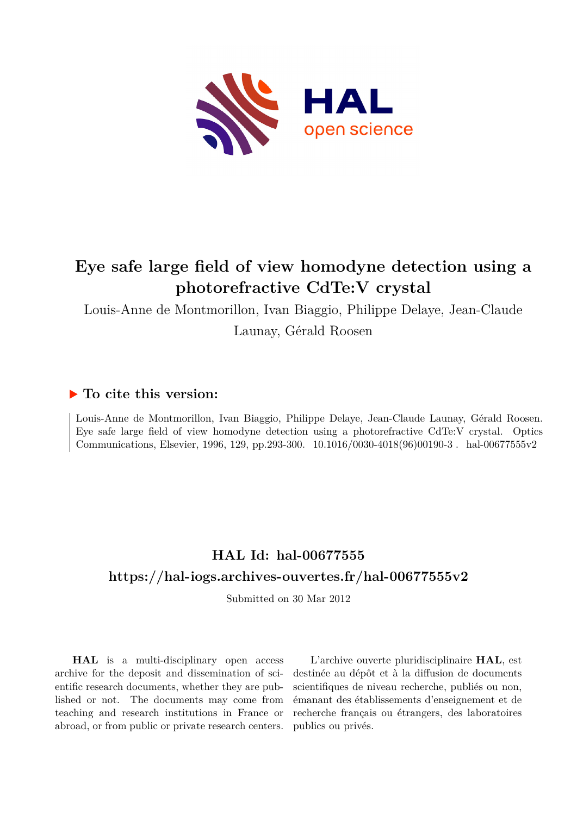

# **Eye safe large field of view homodyne detection using a photorefractive CdTe:V crystal**

Louis-Anne de Montmorillon, Ivan Biaggio, Philippe Delaye, Jean-Claude

Launay, Gérald Roosen

### **To cite this version:**

Louis-Anne de Montmorillon, Ivan Biaggio, Philippe Delaye, Jean-Claude Launay, Gérald Roosen. Eye safe large field of view homodyne detection using a photorefractive CdTe:V crystal. Optics Communications, Elsevier, 1996, 129, pp.293-300.  $10.1016/0030-4018(96)00190-3$ . hal-00677555v2

## **HAL Id: hal-00677555 <https://hal-iogs.archives-ouvertes.fr/hal-00677555v2>**

Submitted on 30 Mar 2012

**HAL** is a multi-disciplinary open access archive for the deposit and dissemination of scientific research documents, whether they are published or not. The documents may come from teaching and research institutions in France or abroad, or from public or private research centers.

L'archive ouverte pluridisciplinaire **HAL**, est destinée au dépôt et à la diffusion de documents scientifiques de niveau recherche, publiés ou non, émanant des établissements d'enseignement et de recherche français ou étrangers, des laboratoires publics ou privés.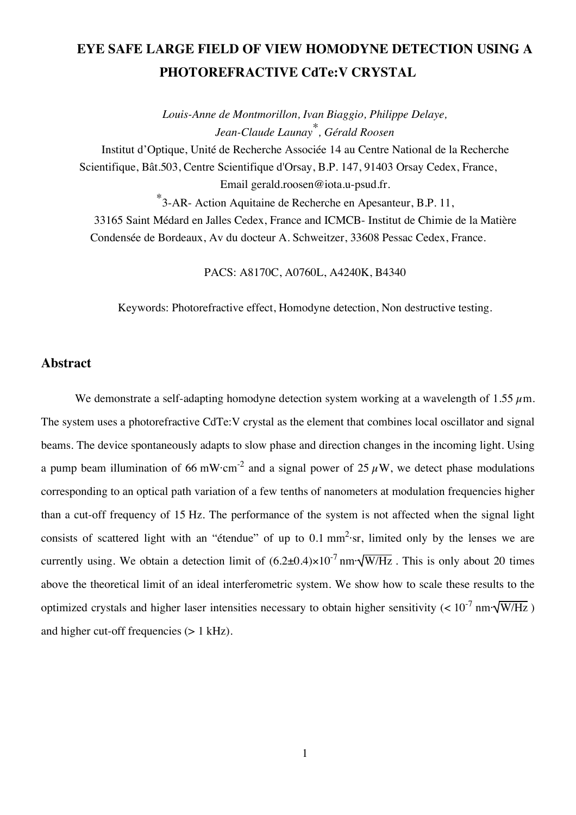## **EYE SAFE LARGE FIELD OF VIEW HOMODYNE DETECTION USING A PHOTOREFRACTIVE CdTe:V CRYSTAL**

*Louis-Anne de Montmorillon, Ivan Biaggio, Philippe Delaye, Jean-Claude Launay\*, Gérald Roosen* Institut d'Optique, Unité de Recherche Associée 14 au Centre National de la Recherche Scientifique, Bât.503, Centre Scientifique d'Orsay, B.P. 147, 91403 Orsay Cedex, France, Email gerald.roosen@iota.u-psud.fr. \* 3-AR- Action Aquitaine de Recherche en Apesanteur, B.P. 11, 33165 Saint Médard en Jalles Cedex, France and ICMCB- Institut de Chimie de la Matière

Condensée de Bordeaux, Av du docteur A. Schweitzer, 33608 Pessac Cedex, France.

PACS: A8170C, A0760L, A4240K, B4340

Keywords: Photorefractive effect, Homodyne detection, Non destructive testing.

#### **Abstract**

We demonstrate a self-adapting homodyne detection system working at a wavelength of 1.55  $\mu$ m. The system uses a photorefractive CdTe:V crystal as the element that combines local oscillator and signal beams. The device spontaneously adapts to slow phase and direction changes in the incoming light. Using a pump beam illumination of 66 mW·cm<sup>-2</sup> and a signal power of 25  $\mu$ W, we detect phase modulations corresponding to an optical path variation of a few tenths of nanometers at modulation frequencies higher than a cut-off frequency of 15 Hz. The performance of the system is not affected when the signal light consists of scattered light with an "étendue" of up to  $0.1 \text{ mm}^2$  sr, limited only by the lenses we are currently using. We obtain a detection limit of  $(6.2\pm0.4)\times10^{-7}$  nm· $\sqrt{W/Hz}$ . This is only about 20 times above the theoretical limit of an ideal interferometric system. We show how to scale these results to the optimized crystals and higher laser intensities necessary to obtain higher sensitivity (<  $10^{-7}$  nm· $\sqrt{W/Hz}$ ) and higher cut-off frequencies (> 1 kHz).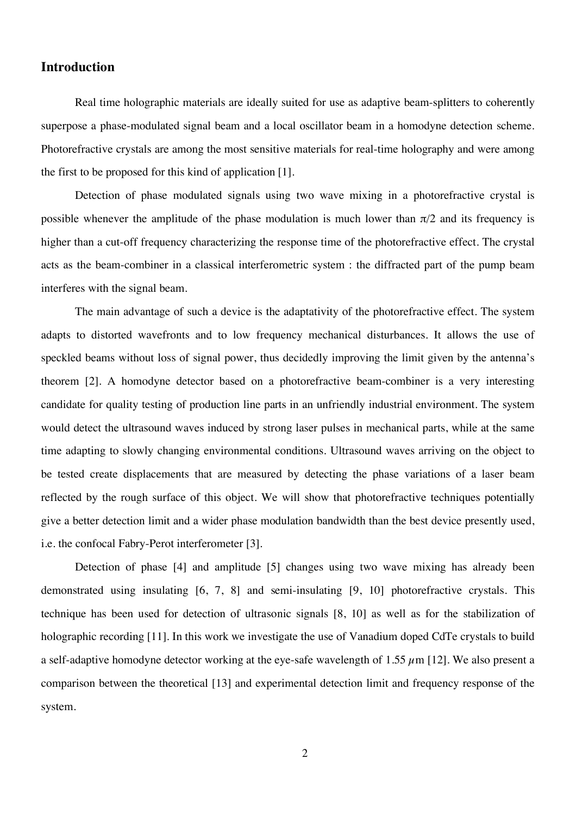#### **Introduction**

Real time holographic materials are ideally suited for use as adaptive beam-splitters to coherently superpose a phase-modulated signal beam and a local oscillator beam in a homodyne detection scheme. Photorefractive crystals are among the most sensitive materials for real-time holography and were among the first to be proposed for this kind of application [1].

Detection of phase modulated signals using two wave mixing in a photorefractive crystal is possible whenever the amplitude of the phase modulation is much lower than  $\pi/2$  and its frequency is higher than a cut-off frequency characterizing the response time of the photorefractive effect. The crystal acts as the beam-combiner in a classical interferometric system : the diffracted part of the pump beam interferes with the signal beam.

The main advantage of such a device is the adaptativity of the photorefractive effect. The system adapts to distorted wavefronts and to low frequency mechanical disturbances. It allows the use of speckled beams without loss of signal power, thus decidedly improving the limit given by the antenna's theorem [2]. A homodyne detector based on a photorefractive beam-combiner is a very interesting candidate for quality testing of production line parts in an unfriendly industrial environment. The system would detect the ultrasound waves induced by strong laser pulses in mechanical parts, while at the same time adapting to slowly changing environmental conditions. Ultrasound waves arriving on the object to be tested create displacements that are measured by detecting the phase variations of a laser beam reflected by the rough surface of this object. We will show that photorefractive techniques potentially give a better detection limit and a wider phase modulation bandwidth than the best device presently used, i.e. the confocal Fabry-Perot interferometer [3].

Detection of phase [4] and amplitude [5] changes using two wave mixing has already been demonstrated using insulating [6, 7, 8] and semi-insulating [9, 10] photorefractive crystals. This technique has been used for detection of ultrasonic signals [8, 10] as well as for the stabilization of holographic recording [11]. In this work we investigate the use of Vanadium doped CdTe crystals to build a self-adaptive homodyne detector working at the eye-safe wavelength of 1.55  $\mu$ m [12]. We also present a comparison between the theoretical [13] and experimental detection limit and frequency response of the system.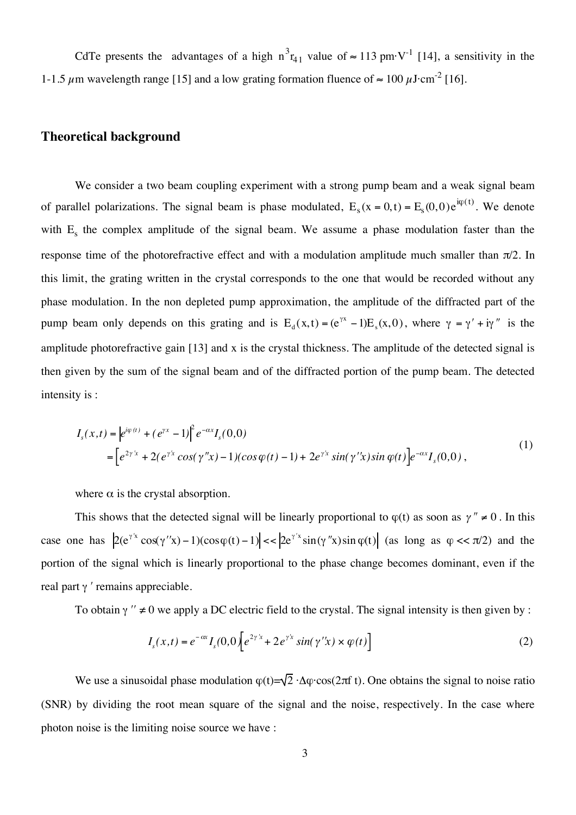CdTe presents the advantages of a high  $n^3r_{41}$  value of  $\approx 113$  pm·V<sup>-1</sup> [14], a sensitivity in the 1-1.5  $\mu$ m wavelength range [15] and a low grating formation fluence of  $\approx 100 \,\mu \text{J} \cdot \text{cm}^{-2}$  [16].

#### **Theoretical background**

We consider a two beam coupling experiment with a strong pump beam and a weak signal beam of parallel polarizations. The signal beam is phase modulated,  $E_s(x = 0,t) = E_s(0,0)e^{i\varphi(t)}$ . We denote with  $E_s$  the complex amplitude of the signal beam. We assume a phase modulation faster than the response time of the photorefractive effect and with a modulation amplitude much smaller than  $\pi/2$ . In this limit, the grating written in the crystal corresponds to the one that would be recorded without any phase modulation. In the non depleted pump approximation, the amplitude of the diffracted part of the pump beam only depends on this grating and is  $E_d(x, t) = (e^{\gamma x} - 1)E_s(x, 0)$ , where  $\gamma = \gamma' + i\gamma''$  is the amplitude photorefractive gain [13] and x is the crystal thickness. The amplitude of the detected signal is then given by the sum of the signal beam and of the diffracted portion of the pump beam. The detected intensity is :

$$
I_s(x,t) = \left| e^{i\varphi(t)} + (e^{yx} - 1) \right|^2 e^{-\alpha x} I_s(0,0)
$$
  
= 
$$
\left[ e^{2\gamma' x} + 2(e^{\gamma' x} \cos(\gamma'' x) - 1)(\cos \varphi(t) - 1) + 2e^{\gamma' x} \sin(\gamma'' x) \sin \varphi(t) \right] e^{-\alpha x} I_s(0,0),
$$
 (1)

where  $\alpha$  is the crystal absorption.

This shows that the detected signal will be linearly proportional to  $\varphi(t)$  as soon as  $\gamma'' \neq 0$ . In this case one has  $2(e^{\gamma' x} \cos(\gamma'' x) - 1)(\cos \varphi(t) - 1)| \ll 2e^{\gamma' x} \sin(\gamma'' x) \sin \varphi(t)$  (as long as  $\varphi \ll \pi/2$ ) and the portion of the signal which is linearly proportional to the phase change becomes dominant, even if the real part γ ' remains appreciable.

To obtain  $\gamma'' \neq 0$  we apply a DC electric field to the crystal. The signal intensity is then given by :

$$
I_s(x,t) = e^{-\alpha x} I_s(0,0) \left[ e^{2\gamma x} + 2e^{\gamma x} \sin(\gamma x) \times \varphi(t) \right]
$$
 (2)

We use a sinusoidal phase modulation  $\varphi(t)=\sqrt{2} \cdot \Delta \varphi \cdot \cos(2\pi f t)$ . One obtains the signal to noise ratio (SNR) by dividing the root mean square of the signal and the noise, respectively. In the case where photon noise is the limiting noise source we have :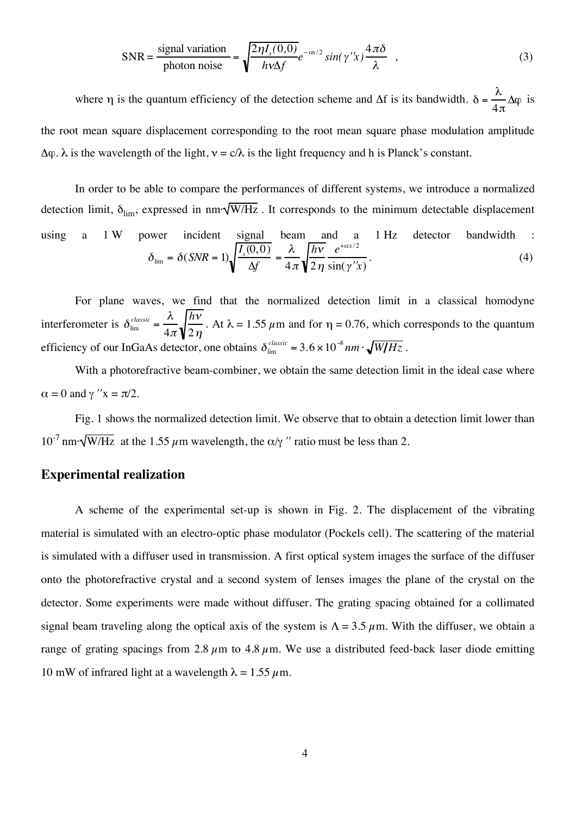$$
SNR = \frac{\text{signal variation}}{\text{photon noise}} = \sqrt{\frac{2\eta I_s(0,0)}{h\nu\Delta f}} e^{-\alpha x/2} \sin(\gamma'' x) \frac{4\pi\delta}{\lambda} , \qquad (3)
$$

where η is the quantum efficiency of the detection scheme and  $\Delta f$  is its bandwidth.  $\delta = \frac{\lambda}{4}$  $4\pi$  $\Delta \phi$  is the root mean square displacement corresponding to the root mean square phase modulation amplitude  $\Delta \varphi$ .  $\lambda$  is the wavelength of the light,  $v = c/\lambda$  is the light frequency and h is Planck's constant.

In order to be able to compare the performances of different systems, we introduce a normalized detection limit,  $\delta_{\text{lim}}$ , expressed in nm· $\sqrt{\text{W/Hz}}$ . It corresponds to the minimum detectable displacement using a 1 W power incident signal beam and a 1 Hz detector bandwidth :  $\delta_{\text{lim}} = \delta(SNR = 1) \sqrt{\frac{I_s(0,0)}{\Delta f}} = \frac{\lambda}{4\pi}$  $h$ v  $2\,\eta$  $e^{+\alpha x/2}$  $\sin(\gamma' x)$ .  $(4)$ 

For plane waves, we find that the normalized detection limit in a classical homodyne interferometer is  $\delta_{\text{lim}}^{classic} = \frac{\lambda}{4\pi}$  $4\pi$  $h$ v  $\frac{n}{2\eta}$ . At  $\lambda = 1.55 \,\mu \text{m}$  and for  $\eta = 0.76$ , which corresponds to the quantum efficiency of our InGaAs detector, one obtains  $\delta_{\text{lim}}^{classic} = 3.6 \times 10^{-8} nm \cdot \sqrt{W/Hz}$ .

With a photorefractive beam-combiner, we obtain the same detection limit in the ideal case where  $\alpha = 0$  and  $\gamma$  " $x = \pi/2$ .

Fig. 1 shows the normalized detection limit. We observe that to obtain a detection limit lower than  $10^{-7}$  nm· $\sqrt{\text{W/Hz}}$  at the 1.55  $\mu$ m wavelength, the  $\alpha/\gamma$  " ratio must be less than 2.

#### **Experimental realization**

A scheme of the experimental set-up is shown in Fig. 2. The displacement of the vibrating material is simulated with an electro-optic phase modulator (Pockels cell). The scattering of the material is simulated with a diffuser used in transmission. A first optical system images the surface of the diffuser onto the photorefractive crystal and a second system of lenses images the plane of the crystal on the detector. Some experiments were made without diffuser. The grating spacing obtained for a collimated signal beam traveling along the optical axis of the system is  $\Lambda = 3.5 \mu$ m. With the diffuser, we obtain a range of grating spacings from 2.8  $\mu$ m to 4.8  $\mu$ m. We use a distributed feed-back laser diode emitting 10 mW of infrared light at a wavelength  $\lambda = 1.55 \mu$ m.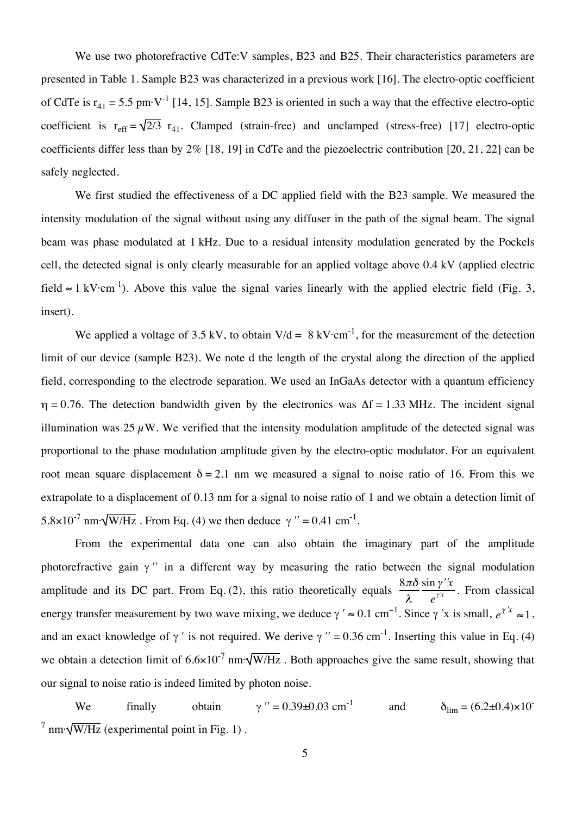We use two photorefractive CdTe:V samples, B23 and B25. Their characteristics parameters are presented in Table 1. Sample B23 was characterized in a previous work [16]. The electro-optic coefficient of CdTe is  $r_{41} = 5.5$  pm·V<sup>-1</sup> [14, 15]. Sample B23 is oriented in such a way that the effective electro-optic coefficient is  $r_{eff} = \sqrt{2/3} r_{41}$ . Clamped (strain-free) and unclamped (stress-free) [17] electro-optic coefficients differ less than by 2% [18, 19] in CdTe and the piezoelectric contribution [20, 21, 22] can be safely neglected.

We first studied the effectiveness of a DC applied field with the B23 sample. We measured the intensity modulation of the signal without using any diffuser in the path of the signal beam. The signal beam was phase modulated at 1 kHz. Due to a residual intensity modulation generated by the Pockels cell, the detected signal is only clearly measurable for an applied voltage above 0.4 kV (applied electric field  $\approx 1 \text{ kV} \cdot \text{cm}^{-1}$ ). Above this value the signal varies linearly with the applied electric field (Fig. 3, insert).

We applied a voltage of 3.5 kV, to obtain  $V/d = 8 \text{ kV} \cdot \text{cm}^{-1}$ , for the measurement of the detection limit of our device (sample B23). We note d the length of the crystal along the direction of the applied field, corresponding to the electrode separation. We used an InGaAs detector with a quantum efficiency  $\eta = 0.76$ . The detection bandwidth given by the electronics was  $\Delta f = 1.33$  MHz. The incident signal illumination was 25  $\mu$ W. We verified that the intensity modulation amplitude of the detected signal was proportional to the phase modulation amplitude given by the electro-optic modulator. For an equivalent root mean square displacement  $δ = 2.1$  nm we measured a signal to noise ratio of 16. From this we extrapolate to a displacement of 0.13 nm for a signal to noise ratio of 1 and we obtain a detection limit of 5.8×10<sup>-7</sup> nm· $\sqrt{W/Hz}$ . From Eq. (4) we then deduce  $\gamma$  " = 0.41 cm<sup>-1</sup>.

From the experimental data one can also obtain the imaginary part of the amplitude photorefractive gain  $\gamma$ " in a different way by measuring the ratio between the signal modulation amplitude and its DC part. From Eq. (2), this ratio theoretically equals  $\frac{8\pi\delta}{\lambda}$  $\frac{\sin \gamma'' x}{e^{\gamma' x}}$ . From classical energy transfer measurement by two wave mixing, we deduce  $\gamma' \approx 0.1 \text{ cm}^{-1}$ . Since  $\gamma'$  is small,  $e^{\gamma' x} \approx 1$ , and an exact knowledge of  $\gamma'$  is not required. We derive  $\gamma'' = 0.36$  cm<sup>-1</sup>. Inserting this value in Eq. (4) we obtain a detection limit of  $6.6 \times 10^{-7}$  nm· $\sqrt{W/Hz}$ . Both approaches give the same result, showing that our signal to noise ratio is indeed limited by photon noise.

We finally obtain  $\gamma$  " = 0.39±0.03 cm<sup>-1</sup> and  $\delta_{\text{lim}} = (6.2 \pm 0.4) \times 10^{-7}$  $\frac{7}{7}$  nm· $\sqrt{W/Hz}$  (experimental point in Fig. 1).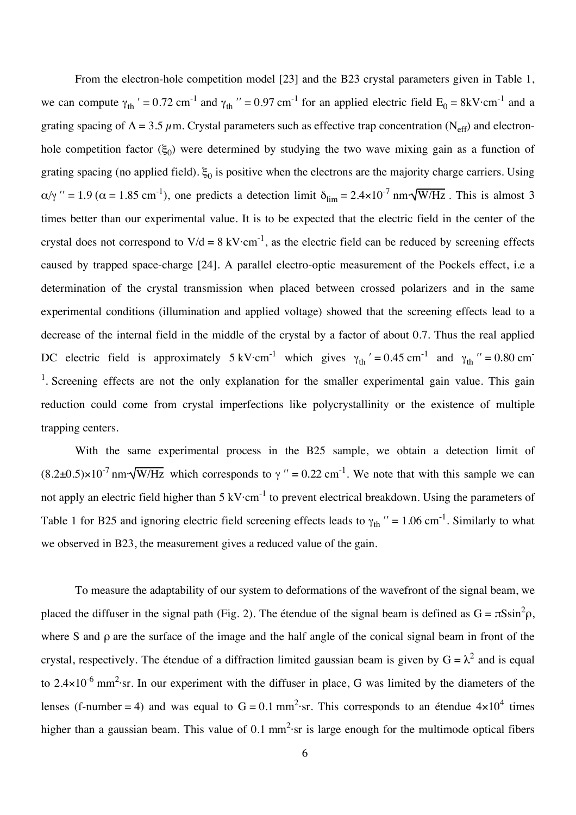From the electron-hole competition model [23] and the B23 crystal parameters given in Table 1, we can compute  $\gamma_{th}$  ' = 0.72 cm<sup>-1</sup> and  $\gamma_{th}$  " = 0.97 cm<sup>-1</sup> for an applied electric field  $E_0 = 8kV \cdot cm^{-1}$  and a grating spacing of  $\Lambda = 3.5 \mu$ m. Crystal parameters such as effective trap concentration (N<sub>eff</sub>) and electronhole competition factor ( $\xi_0$ ) were determined by studying the two wave mixing gain as a function of grating spacing (no applied field).  $\xi_0$  is positive when the electrons are the majority charge carriers. Using  $\alpha/\gamma$  " = 1.9 ( $\alpha$  = 1.85 cm<sup>-1</sup>), one predicts a detection limit  $\delta_{\rm lim} = 2.4 \times 10^{-7}$  nm· $\sqrt{\rm W/Hz}$ . This is almost 3 times better than our experimental value. It is to be expected that the electric field in the center of the crystal does not correspond to  $V/d = 8$  kV $\cdot$ cm<sup>-1</sup>, as the electric field can be reduced by screening effects caused by trapped space-charge [24]. A parallel electro-optic measurement of the Pockels effect, i.e a determination of the crystal transmission when placed between crossed polarizers and in the same experimental conditions (illumination and applied voltage) showed that the screening effects lead to a decrease of the internal field in the middle of the crystal by a factor of about 0.7. Thus the real applied DC electric field is approximately  $5 \text{ kV} \cdot \text{cm}^{-1}$  which gives  $\gamma_{\text{th}}' = 0.45 \text{ cm}^{-1}$  and  $\gamma_{\text{th}}'' = 0.80 \text{ cm}^{-1}$ <sup>1</sup>. Screening effects are not the only explanation for the smaller experimental gain value. This gain reduction could come from crystal imperfections like polycrystallinity or the existence of multiple trapping centers.

With the same experimental process in the B25 sample, we obtain a detection limit of  $(8.2\pm0.5)\times10^{-7}$  nm· $\sqrt{W/Hz}$  which corresponds to  $\gamma$  " = 0.22 cm<sup>-1</sup>. We note that with this sample we can not apply an electric field higher than 5 kV $\cdot$ cm<sup>-1</sup> to prevent electrical breakdown. Using the parameters of Table 1 for B25 and ignoring electric field screening effects leads to  $\gamma_{th}$  " = 1.06 cm<sup>-1</sup>. Similarly to what we observed in B23, the measurement gives a reduced value of the gain.

To measure the adaptability of our system to deformations of the wavefront of the signal beam, we placed the diffuser in the signal path (Fig. 2). The étendue of the signal beam is defined as  $G = \pi S \sin^2 \rho$ , where S and ρ are the surface of the image and the half angle of the conical signal beam in front of the crystal, respectively. The étendue of a diffraction limited gaussian beam is given by  $G = \lambda^2$  and is equal to 2.4 $\times$ 10<sup>-6</sup> mm<sup>2</sup>·sr. In our experiment with the diffuser in place, G was limited by the diameters of the lenses (f-number = 4) and was equal to  $G = 0.1$  mm<sup>2</sup>·sr. This corresponds to an étendue  $4 \times 10^4$  times higher than a gaussian beam. This value of 0.1  $mm^2$  sr is large enough for the multimode optical fibers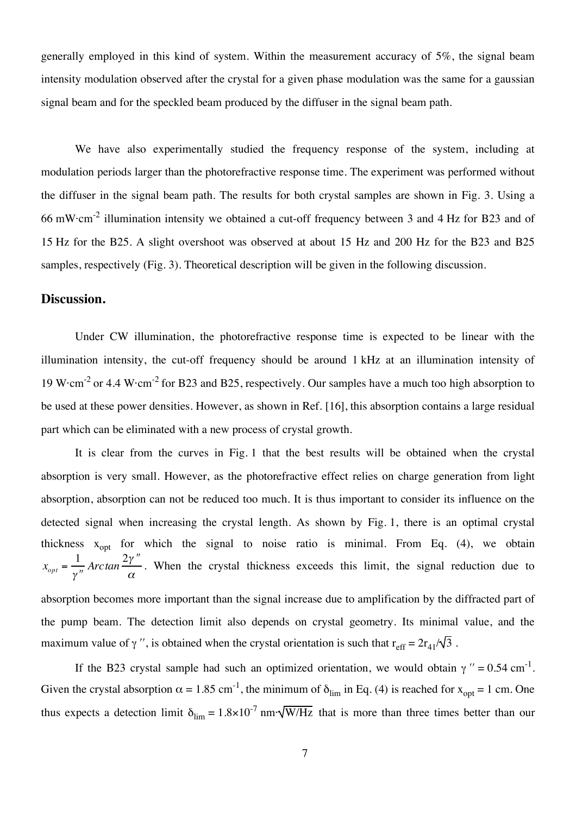generally employed in this kind of system. Within the measurement accuracy of 5%, the signal beam intensity modulation observed after the crystal for a given phase modulation was the same for a gaussian signal beam and for the speckled beam produced by the diffuser in the signal beam path.

We have also experimentally studied the frequency response of the system, including at modulation periods larger than the photorefractive response time. The experiment was performed without the diffuser in the signal beam path. The results for both crystal samples are shown in Fig. 3. Using a 66 mW·cm<sup>-2</sup> illumination intensity we obtained a cut-off frequency between 3 and 4 Hz for B23 and of 15 Hz for the B25. A slight overshoot was observed at about 15 Hz and 200 Hz for the B23 and B25 samples, respectively (Fig. 3). Theoretical description will be given in the following discussion.

### **Discussion.**

Under CW illumination, the photorefractive response time is expected to be linear with the illumination intensity, the cut-off frequency should be around 1 kHz at an illumination intensity of 19 W $\cdot$ cm<sup>-2</sup> or 4.4 W $\cdot$ cm<sup>-2</sup> for B23 and B25, respectively. Our samples have a much too high absorption to be used at these power densities. However, as shown in Ref. [16], this absorption contains a large residual part which can be eliminated with a new process of crystal growth.

It is clear from the curves in Fig. 1 that the best results will be obtained when the crystal absorption is very small. However, as the photorefractive effect relies on charge generation from light absorption, absorption can not be reduced too much. It is thus important to consider its influence on the detected signal when increasing the crystal length. As shown by Fig. 1, there is an optimal crystal thickness  $x_{\text{opt}}$  for which the signal to noise ratio is minimal. From Eq. (4), we obtain  $x_{opt} = \frac{1}{\gamma}$ *Arctan* 2" !!  $\frac{7}{\alpha}$ . When the crystal thickness exceeds this limit, the signal reduction due to

absorption becomes more important than the signal increase due to amplification by the diffracted part of the pump beam. The detection limit also depends on crystal geometry. Its minimal value, and the maximum value of  $\gamma''$ , is obtained when the crystal orientation is such that  $r_{\text{eff}} = 2r_{41}/\sqrt{3}$ .

If the B23 crystal sample had such an optimized orientation, we would obtain  $\gamma$  " = 0.54 cm<sup>-1</sup>. Given the crystal absorption  $\alpha = 1.85$  cm<sup>-1</sup>, the minimum of  $\delta_{\rm lim}$  in Eq. (4) is reached for  $x_{\rm opt} = 1$  cm. One thus expects a detection limit  $\delta_{\text{lim}} = 1.8 \times 10^{-7}$  nm· $\sqrt{\text{W}/\text{Hz}}$  that is more than three times better than our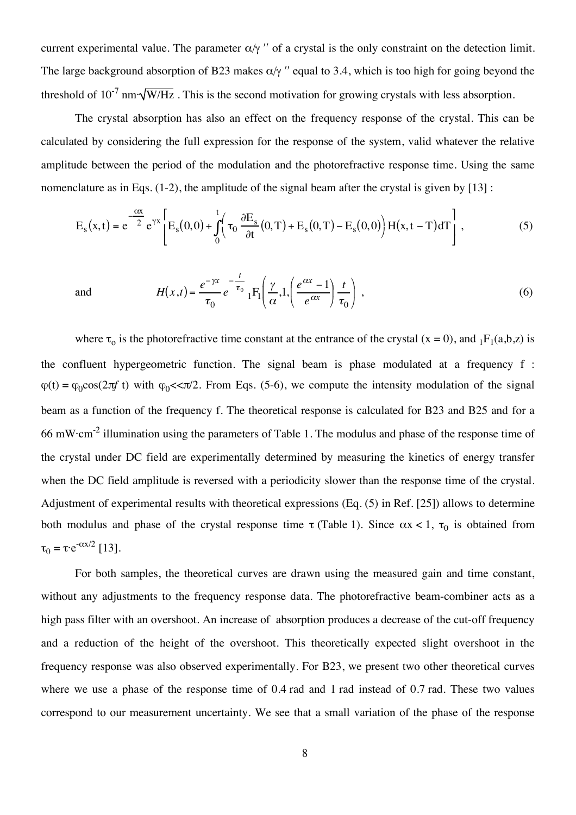current experimental value. The parameter  $\alpha/\gamma$  " of a crystal is the only constraint on the detection limit. The large background absorption of B23 makes  $\alpha/\gamma$  " equal to 3.4, which is too high for going beyond the threshold of  $10^{-7}$  nm· $\sqrt{W/Hz}$ . This is the second motivation for growing crystals with less absorption.

The crystal absorption has also an effect on the frequency response of the crystal. This can be calculated by considering the full expression for the response of the system, valid whatever the relative amplitude between the period of the modulation and the photorefractive response time. Using the same nomenclature as in Eqs. (1-2), the amplitude of the signal beam after the crystal is given by [13] :

$$
E_s(x,t) = e^{-\frac{cx}{2}} e^{\gamma x} \left[ E_s(0,0) + \int_0^t \left( \tau_0 \frac{\partial E_s}{\partial t} (0,T) + E_s(0,T) - E_s(0,0) \right) H(x,t-T) dT \right],
$$
 (5)

and 
$$
H(x,t) = \frac{e^{-\gamma x}}{\tau_0} e^{-\frac{t}{\tau_0}} {}_1F_1\left(\frac{\gamma}{\alpha}, 1, \left(\frac{e^{\alpha x} - 1}{e^{\alpha x}}\right) \frac{t}{\tau_0}\right),
$$
 (6)

where  $\tau_0$  is the photorefractive time constant at the entrance of the crystal (x = 0), and  $_1F_1(a,b,z)$  is the confluent hypergeometric function. The signal beam is phase modulated at a frequency f :  $\varphi(t) = \varphi_0 \cos(2\pi f t)$  with  $\varphi_0 \ll \pi/2$ . From Eqs. (5-6), we compute the intensity modulation of the signal beam as a function of the frequency f. The theoretical response is calculated for B23 and B25 and for a 66 mW·cm<sup>-2</sup> illumination using the parameters of Table 1. The modulus and phase of the response time of the crystal under DC field are experimentally determined by measuring the kinetics of energy transfer when the DC field amplitude is reversed with a periodicity slower than the response time of the crystal. Adjustment of experimental results with theoretical expressions (Eq. (5) in Ref. [25]) allows to determine both modulus and phase of the crystal response time  $\tau$  (Table 1). Since  $\alpha x < 1$ ,  $\tau_0$  is obtained from  $\tau_0 = \tau \cdot e^{-\alpha x/2}$  [13].

For both samples, the theoretical curves are drawn using the measured gain and time constant, without any adjustments to the frequency response data. The photorefractive beam-combiner acts as a high pass filter with an overshoot. An increase of absorption produces a decrease of the cut-off frequency and a reduction of the height of the overshoot. This theoretically expected slight overshoot in the frequency response was also observed experimentally. For B23, we present two other theoretical curves where we use a phase of the response time of 0.4 rad and 1 rad instead of 0.7 rad. These two values correspond to our measurement uncertainty. We see that a small variation of the phase of the response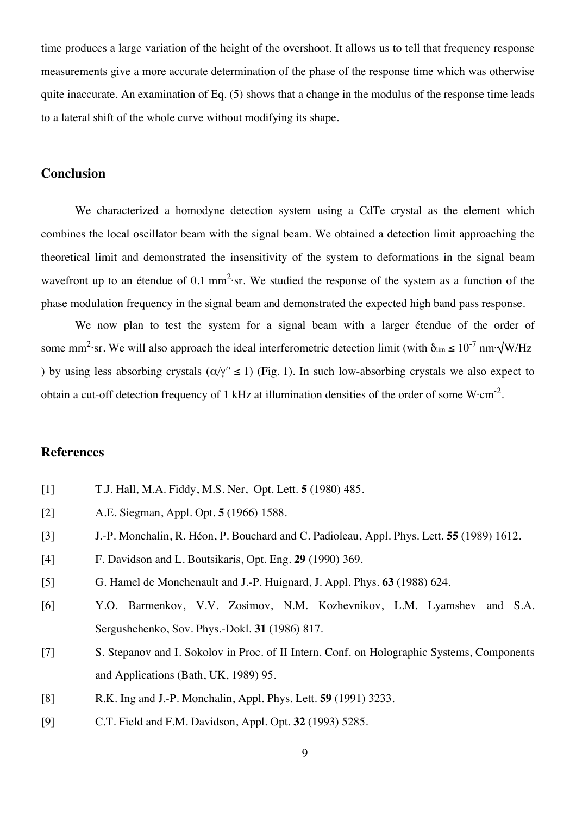time produces a large variation of the height of the overshoot. It allows us to tell that frequency response measurements give a more accurate determination of the phase of the response time which was otherwise quite inaccurate. An examination of Eq. (5) shows that a change in the modulus of the response time leads to a lateral shift of the whole curve without modifying its shape.

### **Conclusion**

We characterized a homodyne detection system using a CdTe crystal as the element which combines the local oscillator beam with the signal beam. We obtained a detection limit approaching the theoretical limit and demonstrated the insensitivity of the system to deformations in the signal beam wavefront up to an étendue of 0.1 mm<sup>2</sup>·sr. We studied the response of the system as a function of the phase modulation frequency in the signal beam and demonstrated the expected high band pass response.

We now plan to test the system for a signal beam with a larger étendue of the order of some mm<sup>2</sup>·sr. We will also approach the ideal interferometric detection limit (with  $\delta_{\rm lim} \le 10^{-7}$  nm· $\sqrt{\rm W/Hz}$ ) by using less absorbing crystals  $(\alpha/\gamma'' \le 1)$  (Fig. 1). In such low-absorbing crystals we also expect to obtain a cut-off detection frequency of 1 kHz at illumination densities of the order of some  $W/cm^{-2}$ .

#### **References**

- [1] T.J. Hall, M.A. Fiddy, M.S. Ner, Opt. Lett. **5** (1980) 485.
- [2] A.E. Siegman, Appl. Opt. **5** (1966) 1588.
- [3] J.-P. Monchalin, R. Héon, P. Bouchard and C. Padioleau, Appl. Phys. Lett. **55** (1989) 1612.
- [4] F. Davidson and L. Boutsikaris, Opt. Eng. **29** (1990) 369.
- [5] G. Hamel de Monchenault and J.-P. Huignard, J. Appl. Phys. **63** (1988) 624.
- [6] Y.O. Barmenkov, V.V. Zosimov, N.M. Kozhevnikov, L.M. Lyamshev and S.A. Sergushchenko, Sov. Phys.-Dokl. **31** (1986) 817.
- [7] S. Stepanov and I. Sokolov in Proc. of II Intern. Conf. on Holographic Systems, Components and Applications (Bath, UK, 1989) 95.
- [8] R.K. Ing and J.-P. Monchalin, Appl. Phys. Lett. **59** (1991) 3233.
- [9] C.T. Field and F.M. Davidson, Appl. Opt. **32** (1993) 5285.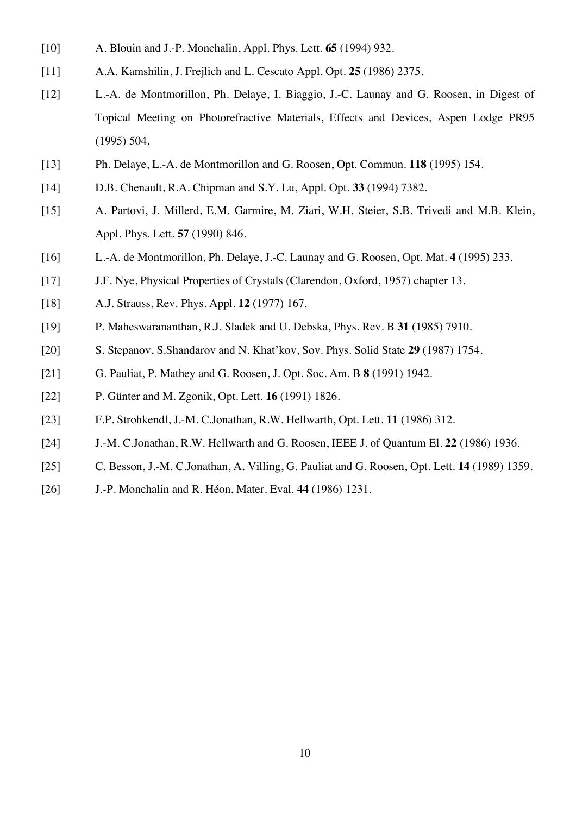- [10] A. Blouin and J.-P. Monchalin, Appl. Phys. Lett. **65** (1994) 932.
- [11] A.A. Kamshilin, J. Frejlich and L. Cescato Appl. Opt. **25** (1986) 2375.
- [12] L.-A. de Montmorillon, Ph. Delaye, I. Biaggio, J.-C. Launay and G. Roosen, in Digest of Topical Meeting on Photorefractive Materials, Effects and Devices, Aspen Lodge PR95 (1995) 504.
- [13] Ph. Delaye, L.-A. de Montmorillon and G. Roosen, Opt. Commun. **118** (1995) 154.
- [14] D.B. Chenault, R.A. Chipman and S.Y. Lu, Appl. Opt. **33** (1994) 7382.
- [15] A. Partovi, J. Millerd, E.M. Garmire, M. Ziari, W.H. Steier, S.B. Trivedi and M.B. Klein, Appl. Phys. Lett. **57** (1990) 846.
- [16] L.-A. de Montmorillon, Ph. Delaye, J.-C. Launay and G. Roosen, Opt. Mat. **4** (1995) 233.
- [17] J.F. Nye, Physical Properties of Crystals (Clarendon, Oxford, 1957) chapter 13.
- [18] A.J. Strauss, Rev. Phys. Appl. **12** (1977) 167.
- [19] P. Maheswarananthan, R.J. Sladek and U. Debska, Phys. Rev. B **31** (1985) 7910.
- [20] S. Stepanov, S.Shandarov and N. Khat'kov, Sov. Phys. Solid State **29** (1987) 1754.
- [21] G. Pauliat, P. Mathey and G. Roosen, J. Opt. Soc. Am. B **8** (1991) 1942.
- [22] P. Günter and M. Zgonik, Opt. Lett. **16** (1991) 1826.
- [23] F.P. Strohkendl, J.-M. C.Jonathan, R.W. Hellwarth, Opt. Lett. **11** (1986) 312.
- [24] J.-M. C.Jonathan, R.W. Hellwarth and G. Roosen, IEEE J. of Quantum El. **22** (1986) 1936.
- [25] C. Besson, J.-M. C.Jonathan, A. Villing, G. Pauliat and G. Roosen, Opt. Lett. **14** (1989) 1359.
- [26] J.-P. Monchalin and R. Héon, Mater. Eval. **44** (1986) 1231.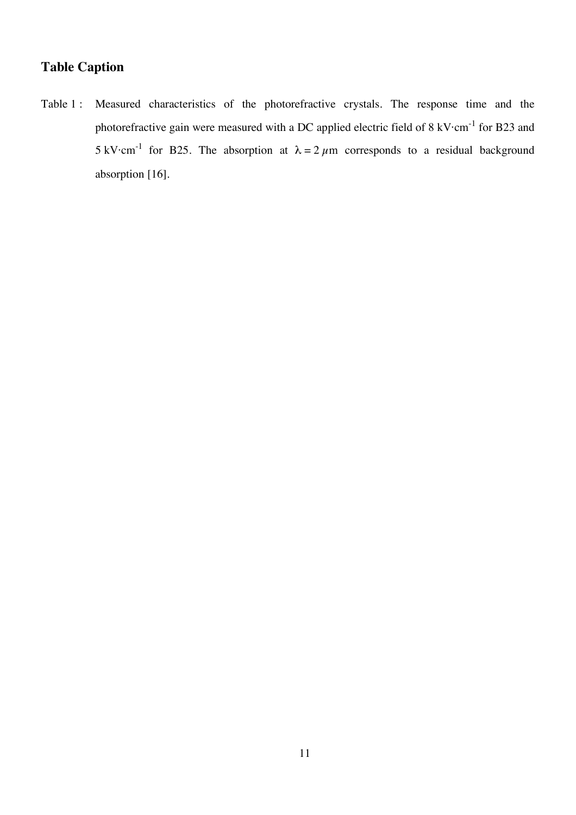### **Table Caption**

Table 1 : Measured characteristics of the photorefractive crystals. The response time and the photorefractive gain were measured with a DC applied electric field of 8 kV $\cdot$ cm<sup>-1</sup> for B23 and 5 kV·cm<sup>-1</sup> for B25. The absorption at  $\lambda = 2 \mu m$  corresponds to a residual background absorption [16].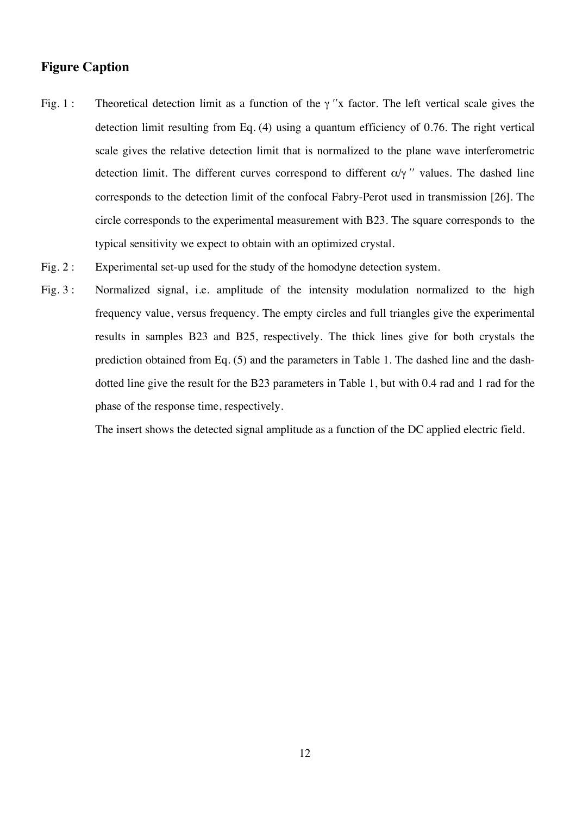#### **Figure Caption**

- Fig. 1 : Theoretical detection limit as a function of the  $\gamma$  "x factor. The left vertical scale gives the detection limit resulting from Eq. (4) using a quantum efficiency of 0.76. The right vertical scale gives the relative detection limit that is normalized to the plane wave interferometric detection limit. The different curves correspond to different  $\alpha/\gamma$  " values. The dashed line corresponds to the detection limit of the confocal Fabry-Perot used in transmission [26]. The circle corresponds to the experimental measurement with B23. The square corresponds to the typical sensitivity we expect to obtain with an optimized crystal.
- Fig. 2 : Experimental set-up used for the study of the homodyne detection system.
- Fig. 3: Normalized signal, i.e. amplitude of the intensity modulation normalized to the high frequency value, versus frequency. The empty circles and full triangles give the experimental results in samples B23 and B25, respectively. The thick lines give for both crystals the prediction obtained from Eq. (5) and the parameters in Table 1. The dashed line and the dashdotted line give the result for the B23 parameters in Table 1, but with 0.4 rad and 1 rad for the phase of the response time, respectively.

The insert shows the detected signal amplitude as a function of the DC applied electric field.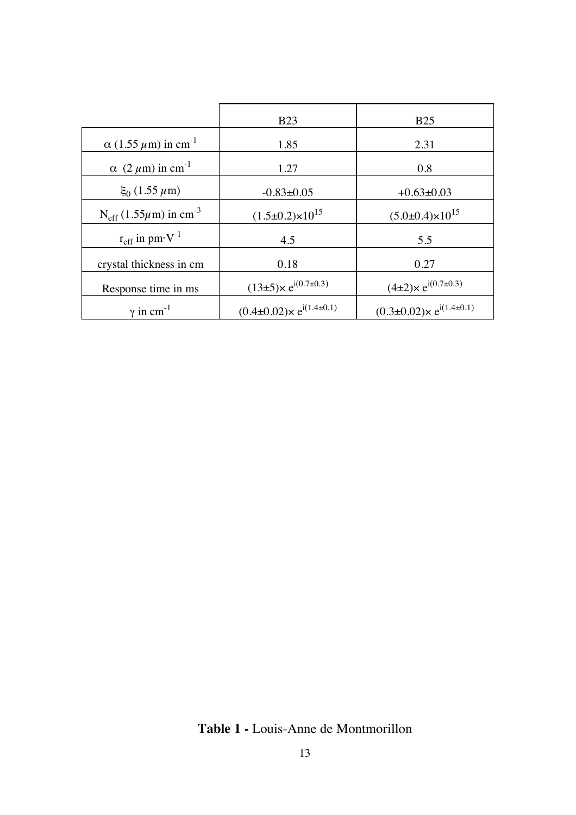|                                                     | <b>B23</b>                            | <b>B25</b>                                 |
|-----------------------------------------------------|---------------------------------------|--------------------------------------------|
| $\alpha$ (1.55 $\mu$ m) in cm <sup>-1</sup>         | 1.85                                  | 2.31                                       |
| $\alpha$ (2 $\mu$ m) in cm <sup>-1</sup>            | 1.27                                  | 0.8                                        |
| $\xi_0$ (1.55 $\mu$ m)                              | $-0.83+0.05$                          | $+0.63\pm0.03$                             |
| $N_{\text{eff}}$ (1.55 $\mu$ m) in cm <sup>-3</sup> | $(1.5\pm0.2)\times10^{15}$            | $(5.0\pm0.4)\times10^{15}$                 |
| $r_{\text{eff}}$ in pm $\cdot$ V <sup>-1</sup>      | 4.5                                   | 5.5                                        |
| crystal thickness in cm                             | 0.18                                  | 0.27                                       |
| Response time in ms                                 | $(13\pm5)\times e^{i(0.7\pm0.3)}$     | $(4\pm2)\times e^{i(0.7\pm0.3)}$           |
| $\gamma$ in cm <sup>-1</sup>                        | $(0.4\pm0.02)\times e^{i(1.4\pm0.1)}$ | $(0.3 \pm 0.02) \times e^{i(1.4 \pm 0.1)}$ |

**Table 1 -** Louis-Anne de Montmorillon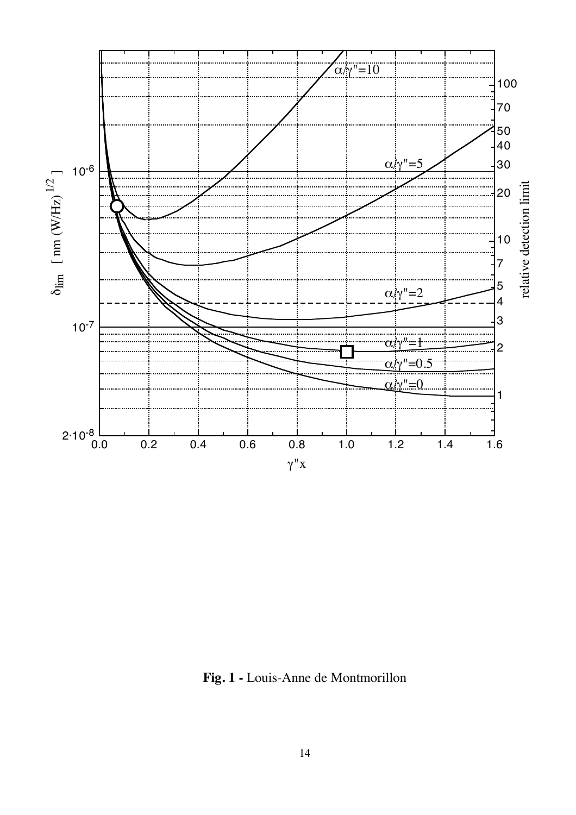

**Fig. 1 -** Louis-Anne de Montmorillon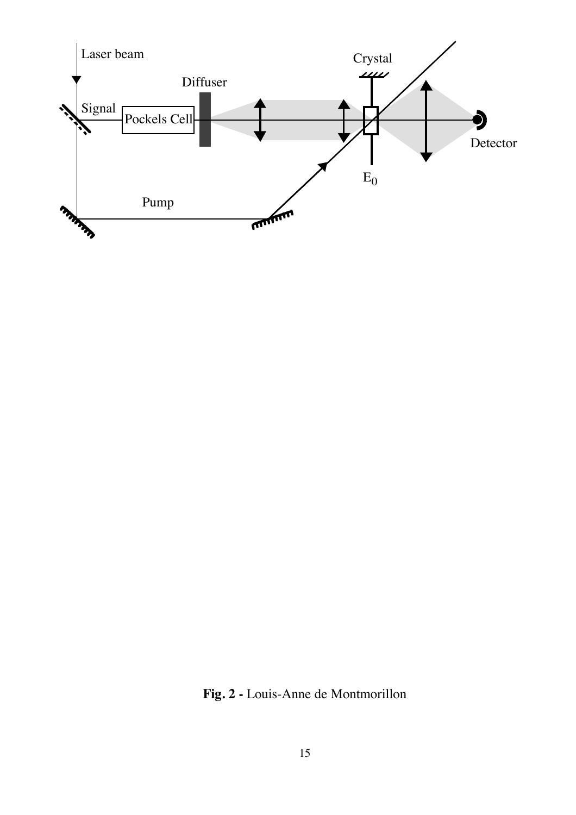

**Fig. 2 -** Louis-Anne de Montmorillon